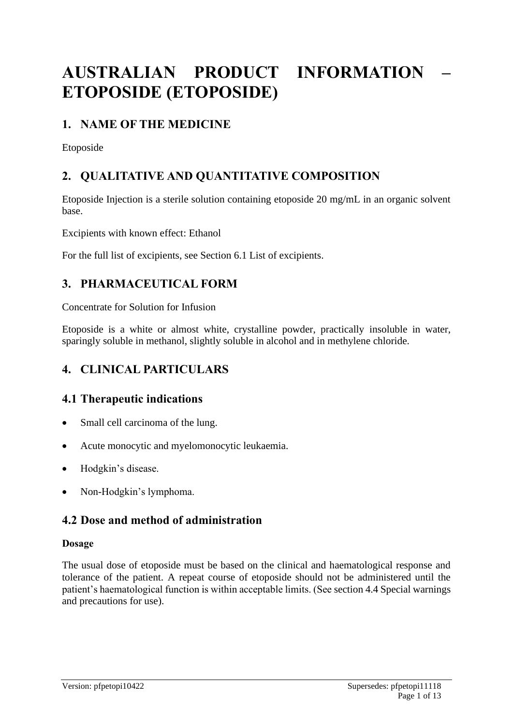# **AUSTRALIAN PRODUCT INFORMATION – ETOPOSIDE (ETOPOSIDE)**

# **1. NAME OF THE MEDICINE**

Etoposide

# **2. QUALITATIVE AND QUANTITATIVE COMPOSITION**

Etoposide Injection is a sterile solution containing etoposide 20 mg/mL in an organic solvent base.

Excipients with known effect: Ethanol

For the full list of excipients, see Section 6.1 List of excipients.

# **3. PHARMACEUTICAL FORM**

Concentrate for Solution for Infusion

Etoposide is a white or almost white, crystalline powder, practically insoluble in water, sparingly soluble in methanol, slightly soluble in alcohol and in methylene chloride.

# **4. CLINICAL PARTICULARS**

### **4.1 Therapeutic indications**

- Small cell carcinoma of the lung.
- Acute monocytic and myelomonocytic leukaemia.
- Hodgkin's disease.
- Non-Hodgkin's lymphoma.

### **4.2 Dose and method of administration**

### **Dosage**

The usual dose of etoposide must be based on the clinical and haematological response and tolerance of the patient. A repeat course of etoposide should not be administered until the patient's haematological function is within acceptable limits. (See section 4.4 Special warnings and precautions for use).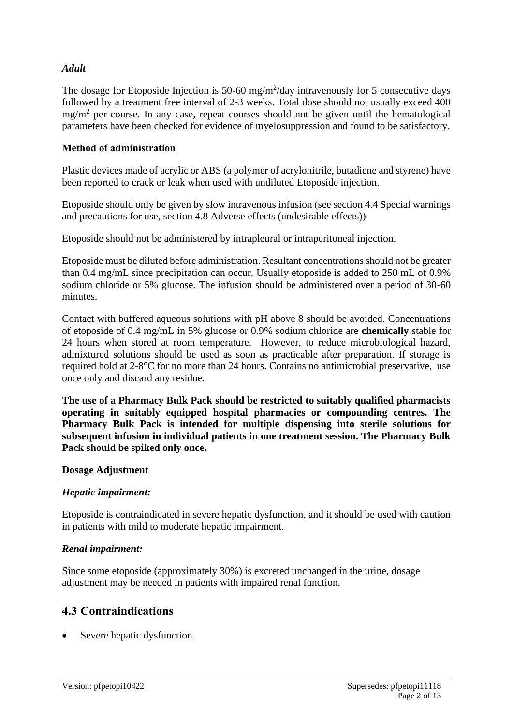### *Adult*

The dosage for Etoposide Injection is 50-60 mg/m<sup>2</sup>/day intravenously for 5 consecutive days followed by a treatment free interval of 2-3 weeks. Total dose should not usually exceed 400  $mg/m<sup>2</sup>$  per course. In any case, repeat courses should not be given until the hematological parameters have been checked for evidence of myelosuppression and found to be satisfactory.

### **Method of administration**

Plastic devices made of acrylic or ABS (a polymer of acrylonitrile, butadiene and styrene) have been reported to crack or leak when used with undiluted Etoposide injection.

Etoposide should only be given by slow intravenous infusion (see section 4.4 Special warnings and precautions for use, section 4.8 Adverse effects (undesirable effects))

Etoposide should not be administered by intrapleural or intraperitoneal injection.

Etoposide must be diluted before administration. Resultant concentrations should not be greater than 0.4 mg/mL since precipitation can occur. Usually etoposide is added to 250 mL of 0.9% sodium chloride or 5% glucose. The infusion should be administered over a period of 30-60 minutes.

Contact with buffered aqueous solutions with pH above 8 should be avoided. Concentrations of etoposide of 0.4 mg/mL in 5% glucose or 0.9% sodium chloride are **chemically** stable for 24 hours when stored at room temperature. However, to reduce microbiological hazard, admixtured solutions should be used as soon as practicable after preparation. If storage is required hold at 2-8°C for no more than 24 hours. Contains no antimicrobial preservative, use once only and discard any residue.

**The use of a Pharmacy Bulk Pack should be restricted to suitably qualified pharmacists operating in suitably equipped hospital pharmacies or compounding centres. The Pharmacy Bulk Pack is intended for multiple dispensing into sterile solutions for subsequent infusion in individual patients in one treatment session. The Pharmacy Bulk Pack should be spiked only once.**

#### **Dosage Adjustment**

#### *Hepatic impairment:*

Etoposide is contraindicated in severe hepatic dysfunction, and it should be used with caution in patients with mild to moderate hepatic impairment.

#### *Renal impairment:*

Since some etoposide (approximately 30%) is excreted unchanged in the urine, dosage adjustment may be needed in patients with impaired renal function.

### **4.3 Contraindications**

Severe hepatic dysfunction.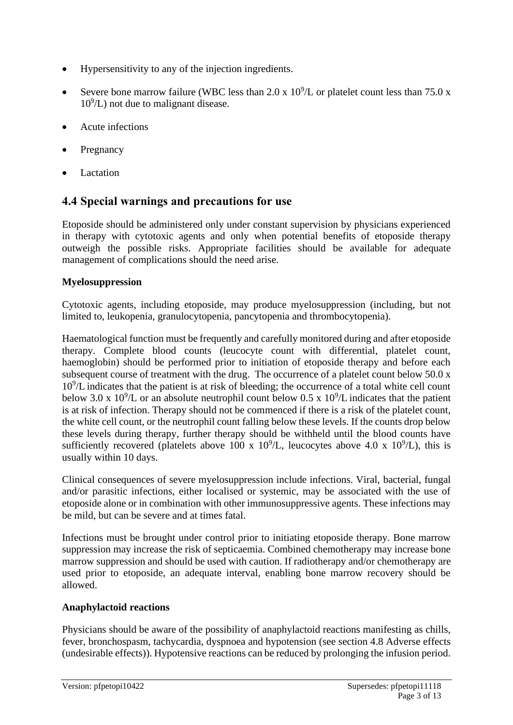- Hypersensitivity to any of the injection ingredients.
- Severe bone marrow failure (WBC less than 2.0 x  $10^9$ /L or platelet count less than 75.0 x  $10^9$ /L) not due to malignant disease.
- Acute infections
- **Pregnancy**
- **Lactation**

### **4.4 Special warnings and precautions for use**

Etoposide should be administered only under constant supervision by physicians experienced in therapy with cytotoxic agents and only when potential benefits of etoposide therapy outweigh the possible risks. Appropriate facilities should be available for adequate management of complications should the need arise.

### **Myelosuppression**

Cytotoxic agents, including etoposide, may produce myelosuppression (including, but not limited to, leukopenia, granulocytopenia, pancytopenia and thrombocytopenia).

Haematological function must be frequently and carefully monitored during and after etoposide therapy. Complete blood counts (leucocyte count with differential, platelet count, haemoglobin) should be performed prior to initiation of etoposide therapy and before each subsequent course of treatment with the drug. The occurrence of a platelet count below 50.0 x 10<sup>9</sup> /L indicates that the patient is at risk of bleeding; the occurrence of a total white cell count below 3.0 x 10<sup>9</sup>/L or an absolute neutrophil count below 0.5 x 10<sup>9</sup>/L indicates that the patient is at risk of infection. Therapy should not be commenced if there is a risk of the platelet count, the white cell count, or the neutrophil count falling below these levels. If the counts drop below these levels during therapy, further therapy should be withheld until the blood counts have sufficiently recovered (platelets above 100 x  $10^9$ /L, leucocytes above 4.0 x  $10^9$ /L), this is usually within 10 days.

Clinical consequences of severe myelosuppression include infections. Viral, bacterial, fungal and/or parasitic infections, either localised or systemic, may be associated with the use of etoposide alone or in combination with other immunosuppressive agents. These infections may be mild, but can be severe and at times fatal.

Infections must be brought under control prior to initiating etoposide therapy. Bone marrow suppression may increase the risk of septicaemia. Combined chemotherapy may increase bone marrow suppression and should be used with caution. If radiotherapy and/or chemotherapy are used prior to etoposide, an adequate interval, enabling bone marrow recovery should be allowed.

### **Anaphylactoid reactions**

Physicians should be aware of the possibility of anaphylactoid reactions manifesting as chills, fever, bronchospasm, tachycardia, dyspnoea and hypotension (see section 4.8 Adverse effects (undesirable effects)). Hypotensive reactions can be reduced by prolonging the infusion period.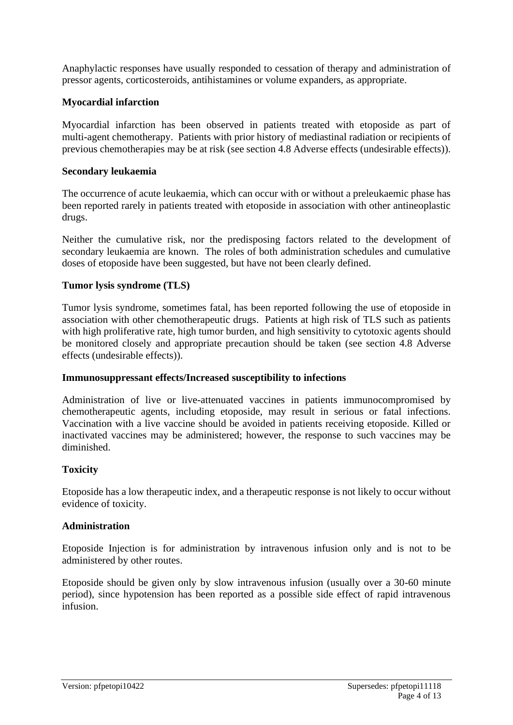Anaphylactic responses have usually responded to cessation of therapy and administration of pressor agents, corticosteroids, antihistamines or volume expanders, as appropriate.

### **Myocardial infarction**

Myocardial infarction has been observed in patients treated with etoposide as part of multi-agent chemotherapy. Patients with prior history of mediastinal radiation or recipients of previous chemotherapies may be at risk (see section 4.8 Adverse effects (undesirable effects)).

#### **Secondary leukaemia**

The occurrence of acute leukaemia, which can occur with or without a preleukaemic phase has been reported rarely in patients treated with etoposide in association with other antineoplastic drugs.

Neither the cumulative risk, nor the predisposing factors related to the development of secondary leukaemia are known. The roles of both administration schedules and cumulative doses of etoposide have been suggested, but have not been clearly defined.

#### **Tumor lysis syndrome (TLS)**

Tumor lysis syndrome, sometimes fatal, has been reported following the use of etoposide in association with other chemotherapeutic drugs. Patients at high risk of TLS such as patients with high proliferative rate, high tumor burden, and high sensitivity to cytotoxic agents should be monitored closely and appropriate precaution should be taken (see section 4.8 Adverse effects (undesirable effects)).

#### **Immunosuppressant effects/Increased susceptibility to infections**

Administration of live or live-attenuated vaccines in patients immunocompromised by chemotherapeutic agents, including etoposide, may result in serious or fatal infections. Vaccination with a live vaccine should be avoided in patients receiving etoposide. Killed or inactivated vaccines may be administered; however, the response to such vaccines may be diminished.

#### **Toxicity**

Etoposide has a low therapeutic index, and a therapeutic response is not likely to occur without evidence of toxicity.

#### **Administration**

Etoposide Injection is for administration by intravenous infusion only and is not to be administered by other routes.

Etoposide should be given only by slow intravenous infusion (usually over a 30-60 minute period), since hypotension has been reported as a possible side effect of rapid intravenous infusion.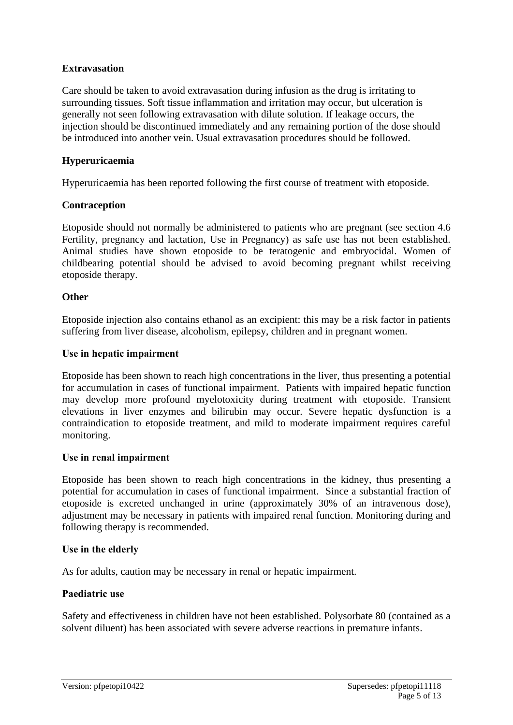### **Extravasation**

Care should be taken to avoid extravasation during infusion as the drug is irritating to surrounding tissues. Soft tissue inflammation and irritation may occur, but ulceration is generally not seen following extravasation with dilute solution. If leakage occurs, the injection should be discontinued immediately and any remaining portion of the dose should be introduced into another vein. Usual extravasation procedures should be followed.

### **Hyperuricaemia**

Hyperuricaemia has been reported following the first course of treatment with etoposide.

#### **Contraception**

Etoposide should not normally be administered to patients who are pregnant (see section 4.6 Fertility, pregnancy and lactation, Use in Pregnancy) as safe use has not been established. Animal studies have shown etoposide to be teratogenic and embryocidal. Women of childbearing potential should be advised to avoid becoming pregnant whilst receiving etoposide therapy.

#### **Other**

Etoposide injection also contains ethanol as an excipient: this may be a risk factor in patients suffering from liver disease, alcoholism, epilepsy, children and in pregnant women.

#### **Use in hepatic impairment**

Etoposide has been shown to reach high concentrations in the liver, thus presenting a potential for accumulation in cases of functional impairment. Patients with impaired hepatic function may develop more profound myelotoxicity during treatment with etoposide. Transient elevations in liver enzymes and bilirubin may occur. Severe hepatic dysfunction is a contraindication to etoposide treatment, and mild to moderate impairment requires careful monitoring.

#### **Use in renal impairment**

Etoposide has been shown to reach high concentrations in the kidney, thus presenting a potential for accumulation in cases of functional impairment. Since a substantial fraction of etoposide is excreted unchanged in urine (approximately 30% of an intravenous dose), adjustment may be necessary in patients with impaired renal function. Monitoring during and following therapy is recommended.

#### **Use in the elderly**

As for adults, caution may be necessary in renal or hepatic impairment.

#### **Paediatric use**

Safety and effectiveness in children have not been established. Polysorbate 80 (contained as a solvent diluent) has been associated with severe adverse reactions in premature infants.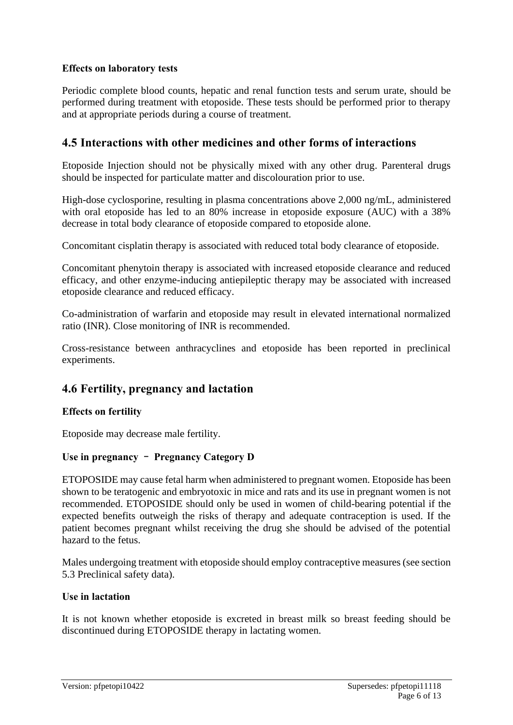### **Effects on laboratory tests**

Periodic complete blood counts, hepatic and renal function tests and serum urate, should be performed during treatment with etoposide. These tests should be performed prior to therapy and at appropriate periods during a course of treatment.

### **4.5 Interactions with other medicines and other forms of interactions**

Etoposide Injection should not be physically mixed with any other drug. Parenteral drugs should be inspected for particulate matter and discolouration prior to use.

High-dose cyclosporine, resulting in plasma concentrations above 2,000 ng/mL, administered with oral etoposide has led to an 80% increase in etoposide exposure (AUC) with a 38% decrease in total body clearance of etoposide compared to etoposide alone.

Concomitant cisplatin therapy is associated with reduced total body clearance of etoposide.

Concomitant phenytoin therapy is associated with increased etoposide clearance and reduced efficacy, and other enzyme-inducing antiepileptic therapy may be associated with increased etoposide clearance and reduced efficacy.

Co-administration of warfarin and etoposide may result in elevated international normalized ratio (INR). Close monitoring of INR is recommended.

Cross-resistance between anthracyclines and etoposide has been reported in preclinical experiments.

### **4.6 Fertility, pregnancy and lactation**

#### **Effects on fertility**

Etoposide may decrease male fertility.

### **Use in pregnancy** – **Pregnancy Category D**

ETOPOSIDE may cause fetal harm when administered to pregnant women. Etoposide has been shown to be teratogenic and embryotoxic in mice and rats and its use in pregnant women is not recommended. ETOPOSIDE should only be used in women of child-bearing potential if the expected benefits outweigh the risks of therapy and adequate contraception is used. If the patient becomes pregnant whilst receiving the drug she should be advised of the potential hazard to the fetus.

Males undergoing treatment with etoposide should employ contraceptive measures (see section 5.3 Preclinical safety data).

#### **Use in lactation**

It is not known whether etoposide is excreted in breast milk so breast feeding should be discontinued during ETOPOSIDE therapy in lactating women.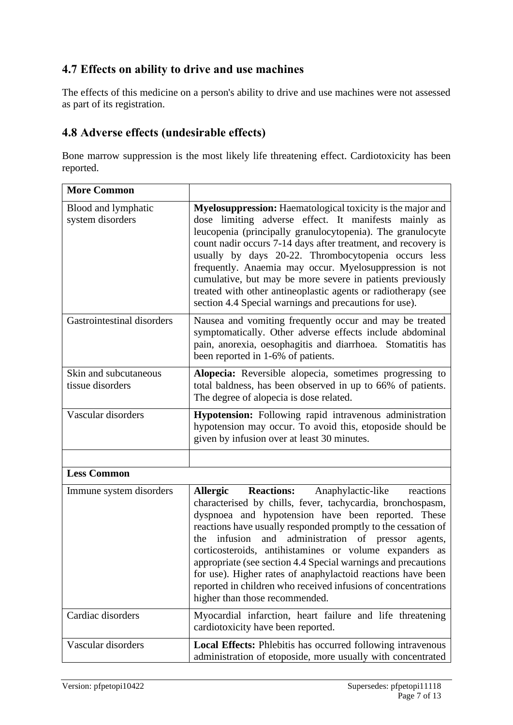### **4.7 Effects on ability to drive and use machines**

The effects of this medicine on a person's ability to drive and use machines were not assessed as part of its registration.

### **4.8 Adverse effects (undesirable effects)**

Bone marrow suppression is the most likely life threatening effect. Cardiotoxicity has been reported.

| <b>More Common</b>                        |                                                                                                                                                                                                                                                                                                                                                                                                                                                                                                                                                                                                                         |
|-------------------------------------------|-------------------------------------------------------------------------------------------------------------------------------------------------------------------------------------------------------------------------------------------------------------------------------------------------------------------------------------------------------------------------------------------------------------------------------------------------------------------------------------------------------------------------------------------------------------------------------------------------------------------------|
| Blood and lymphatic<br>system disorders   | Myelosuppression: Haematological toxicity is the major and<br>dose limiting adverse effect. It manifests mainly as<br>leucopenia (principally granulocytopenia). The granulocyte<br>count nadir occurs 7-14 days after treatment, and recovery is<br>usually by days 20-22. Thrombocytopenia occurs less<br>frequently. Anaemia may occur. Myelosuppression is not<br>cumulative, but may be more severe in patients previously<br>treated with other antineoplastic agents or radiotherapy (see<br>section 4.4 Special warnings and precautions for use).                                                              |
| Gastrointestinal disorders                | Nausea and vomiting frequently occur and may be treated<br>symptomatically. Other adverse effects include abdominal<br>pain, anorexia, oesophagitis and diarrhoea. Stomatitis has<br>been reported in 1-6% of patients.                                                                                                                                                                                                                                                                                                                                                                                                 |
| Skin and subcutaneous<br>tissue disorders | Alopecia: Reversible alopecia, sometimes progressing to<br>total baldness, has been observed in up to 66% of patients.<br>The degree of alopecia is dose related.                                                                                                                                                                                                                                                                                                                                                                                                                                                       |
| Vascular disorders                        | Hypotension: Following rapid intravenous administration<br>hypotension may occur. To avoid this, etoposide should be<br>given by infusion over at least 30 minutes.                                                                                                                                                                                                                                                                                                                                                                                                                                                     |
|                                           |                                                                                                                                                                                                                                                                                                                                                                                                                                                                                                                                                                                                                         |
| <b>Less Common</b>                        |                                                                                                                                                                                                                                                                                                                                                                                                                                                                                                                                                                                                                         |
| Immune system disorders                   | <b>Reactions:</b><br>Anaphylactic-like<br>reactions<br><b>Allergic</b><br>characterised by chills, fever, tachycardia, bronchospasm,<br>dyspnoea and hypotension have been reported. These<br>reactions have usually responded promptly to the cessation of<br>and administration of pressor<br>infusion<br>the<br>agents,<br>corticosteroids, antihistamines or volume expanders as<br>appropriate (see section 4.4 Special warnings and precautions<br>for use). Higher rates of anaphylactoid reactions have been<br>reported in children who received infusions of concentrations<br>higher than those recommended. |
| Cardiac disorders                         | Myocardial infarction, heart failure and life threatening<br>cardiotoxicity have been reported.                                                                                                                                                                                                                                                                                                                                                                                                                                                                                                                         |
| Vascular disorders                        | <b>Local Effects:</b> Phlebitis has occurred following intravenous<br>administration of etoposide, more usually with concentrated                                                                                                                                                                                                                                                                                                                                                                                                                                                                                       |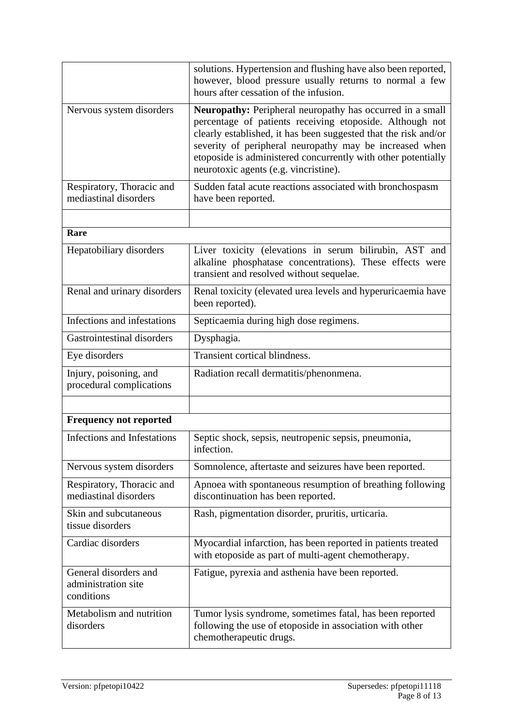|                                                            | solutions. Hypertension and flushing have also been reported,<br>however, blood pressure usually returns to normal a few<br>hours after cessation of the infusion.                                                                                                                                                                                                   |
|------------------------------------------------------------|----------------------------------------------------------------------------------------------------------------------------------------------------------------------------------------------------------------------------------------------------------------------------------------------------------------------------------------------------------------------|
| Nervous system disorders                                   | <b>Neuropathy:</b> Peripheral neuropathy has occurred in a small<br>percentage of patients receiving etoposide. Although not<br>clearly established, it has been suggested that the risk and/or<br>severity of peripheral neuropathy may be increased when<br>etoposide is administered concurrently with other potentially<br>neurotoxic agents (e.g. vincristine). |
| Respiratory, Thoracic and<br>mediastinal disorders         | Sudden fatal acute reactions associated with bronchospasm<br>have been reported.                                                                                                                                                                                                                                                                                     |
|                                                            |                                                                                                                                                                                                                                                                                                                                                                      |
| Rare                                                       |                                                                                                                                                                                                                                                                                                                                                                      |
| Hepatobiliary disorders                                    | Liver toxicity (elevations in serum bilirubin, AST and<br>alkaline phosphatase concentrations). These effects were<br>transient and resolved without sequelae.                                                                                                                                                                                                       |
| Renal and urinary disorders                                | Renal toxicity (elevated urea levels and hyperuricaemia have<br>been reported).                                                                                                                                                                                                                                                                                      |
| Infections and infestations                                | Septicaemia during high dose regimens.                                                                                                                                                                                                                                                                                                                               |
| Gastrointestinal disorders                                 | Dysphagia.                                                                                                                                                                                                                                                                                                                                                           |
| Eye disorders                                              | Transient cortical blindness.                                                                                                                                                                                                                                                                                                                                        |
| Injury, poisoning, and<br>procedural complications         | Radiation recall dermatitis/phenonmena.                                                                                                                                                                                                                                                                                                                              |
|                                                            |                                                                                                                                                                                                                                                                                                                                                                      |
| <b>Frequency not reported</b>                              |                                                                                                                                                                                                                                                                                                                                                                      |
| Infections and Infestations                                | Septic shock, sepsis, neutropenic sepsis, pneumonia,<br>infection.                                                                                                                                                                                                                                                                                                   |
| Nervous system disorders                                   | Somnolence, aftertaste and seizures have been reported.                                                                                                                                                                                                                                                                                                              |
| Respiratory, Thoracic and<br>mediastinal disorders         | Apnoea with spontaneous resumption of breathing following<br>discontinuation has been reported.                                                                                                                                                                                                                                                                      |
| Skin and subcutaneous<br>tissue disorders                  | Rash, pigmentation disorder, pruritis, urticaria.                                                                                                                                                                                                                                                                                                                    |
| Cardiac disorders                                          | Myocardial infarction, has been reported in patients treated<br>with etoposide as part of multi-agent chemotherapy.                                                                                                                                                                                                                                                  |
| General disorders and<br>administration site<br>conditions | Fatigue, pyrexia and asthenia have been reported.                                                                                                                                                                                                                                                                                                                    |
| Metabolism and nutrition<br>disorders                      | Tumor lysis syndrome, sometimes fatal, has been reported<br>following the use of etoposide in association with other<br>chemotherapeutic drugs.                                                                                                                                                                                                                      |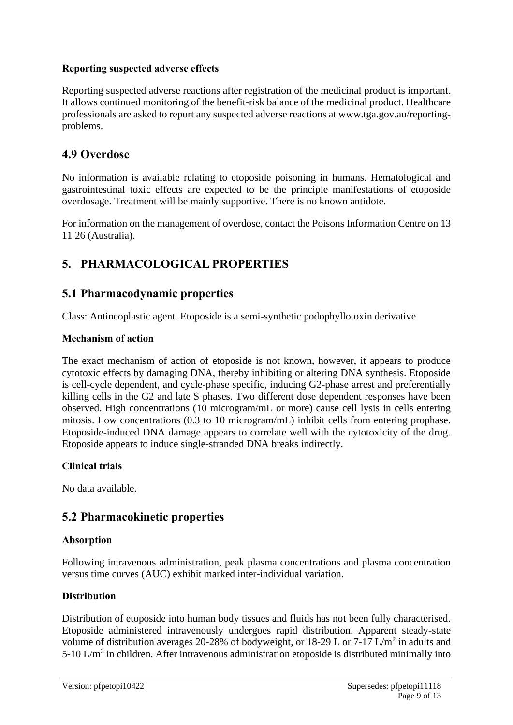### **Reporting suspected adverse effects**

Reporting suspected adverse reactions after registration of the medicinal product is important. It allows continued monitoring of the benefit-risk balance of the medicinal product. Healthcare professionals are asked to report any suspected adverse reactions at [www.tga.gov.au/reporting](http://www.tga.gov.au/reporting-problems)[problems.](http://www.tga.gov.au/reporting-problems)

### **4.9 Overdose**

No information is available relating to etoposide poisoning in humans. Hematological and gastrointestinal toxic effects are expected to be the principle manifestations of etoposide overdosage. Treatment will be mainly supportive. There is no known antidote.

For information on the management of overdose, contact the Poisons Information Centre on 13 11 26 (Australia).

### **5. PHARMACOLOGICAL PROPERTIES**

### **5.1 Pharmacodynamic properties**

Class: Antineoplastic agent. Etoposide is a semi-synthetic podophyllotoxin derivative.

#### **Mechanism of action**

The exact mechanism of action of etoposide is not known, however, it appears to produce cytotoxic effects by damaging DNA, thereby inhibiting or altering DNA synthesis. Etoposide is cell-cycle dependent, and cycle-phase specific, inducing G2-phase arrest and preferentially killing cells in the G2 and late S phases. Two different dose dependent responses have been observed. High concentrations (10 microgram/mL or more) cause cell lysis in cells entering mitosis. Low concentrations (0.3 to 10 microgram/mL) inhibit cells from entering prophase. Etoposide-induced DNA damage appears to correlate well with the cytotoxicity of the drug. Etoposide appears to induce single-stranded DNA breaks indirectly.

#### **Clinical trials**

No data available.

### **5.2 Pharmacokinetic properties**

#### **Absorption**

Following intravenous administration, peak plasma concentrations and plasma concentration versus time curves (AUC) exhibit marked inter-individual variation.

#### **Distribution**

Distribution of etoposide into human body tissues and fluids has not been fully characterised. Etoposide administered intravenously undergoes rapid distribution. Apparent steady-state volume of distribution averages 20-28% of bodyweight, or 18-29 L or 7-17 L/m<sup>2</sup> in adults and 5-10 L/m<sup>2</sup> in children. After intravenous administration etoposide is distributed minimally into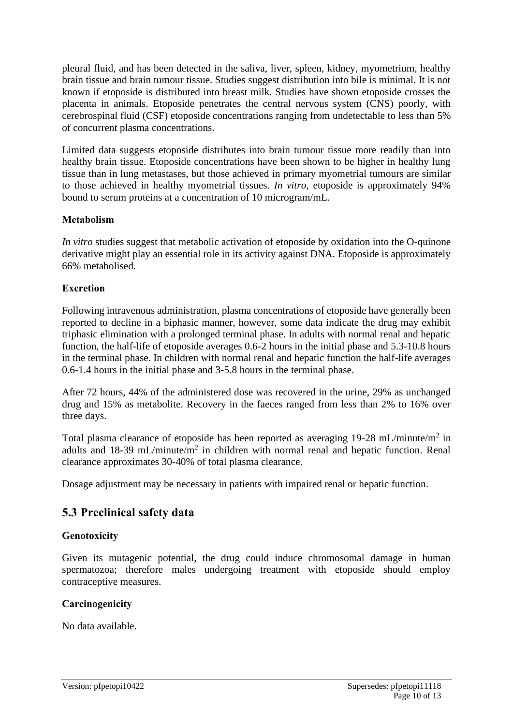pleural fluid, and has been detected in the saliva, liver, spleen, kidney, myometrium, healthy brain tissue and brain tumour tissue. Studies suggest distribution into bile is minimal. It is not known if etoposide is distributed into breast milk. Studies have shown etoposide crosses the placenta in animals. Etoposide penetrates the central nervous system (CNS) poorly, with cerebrospinal fluid (CSF) etoposide concentrations ranging from undetectable to less than 5% of concurrent plasma concentrations.

Limited data suggests etoposide distributes into brain tumour tissue more readily than into healthy brain tissue. Etoposide concentrations have been shown to be higher in healthy lung tissue than in lung metastases, but those achieved in primary myometrial tumours are similar to those achieved in healthy myometrial tissues. *In vitro*, etoposide is approximately 94% bound to serum proteins at a concentration of 10 microgram/mL.

### **Metabolism**

*In vitro* studies suggest that metabolic activation of etoposide by oxidation into the O-quinone derivative might play an essential role in its activity against DNA. Etoposide is approximately 66% metabolised.

### **Excretion**

Following intravenous administration, plasma concentrations of etoposide have generally been reported to decline in a biphasic manner, however, some data indicate the drug may exhibit triphasic elimination with a prolonged terminal phase. In adults with normal renal and hepatic function, the half-life of etoposide averages 0.6-2 hours in the initial phase and 5.3-10.8 hours in the terminal phase. In children with normal renal and hepatic function the half-life averages 0.6-1.4 hours in the initial phase and 3-5.8 hours in the terminal phase.

After 72 hours, 44% of the administered dose was recovered in the urine, 29% as unchanged drug and 15% as metabolite. Recovery in the faeces ranged from less than 2% to 16% over three days.

Total plasma clearance of etoposide has been reported as averaging  $19-28$  mL/minute/m<sup>2</sup> in adults and 18-39 mL/minute/ $m^2$  in children with normal renal and hepatic function. Renal clearance approximates 30-40% of total plasma clearance.

Dosage adjustment may be necessary in patients with impaired renal or hepatic function.

### **5.3 Preclinical safety data**

### **Genotoxicity**

Given its mutagenic potential, the drug could induce chromosomal damage in human spermatozoa; therefore males undergoing treatment with etoposide should employ contraceptive measures.

#### **Carcinogenicity**

No data available.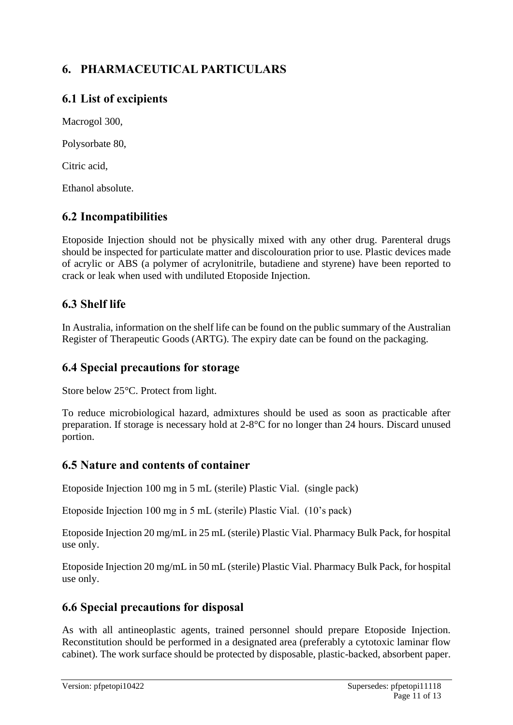# **6. PHARMACEUTICAL PARTICULARS**

# **6.1 List of excipients**

Macrogol 300,

Polysorbate 80,

Citric acid,

Ethanol absolute.

## **6.2 Incompatibilities**

Etoposide Injection should not be physically mixed with any other drug. Parenteral drugs should be inspected for particulate matter and discolouration prior to use. Plastic devices made of acrylic or ABS (a polymer of acrylonitrile, butadiene and styrene) have been reported to crack or leak when used with undiluted Etoposide Injection.

### **6.3 Shelf life**

In Australia, information on the shelf life can be found on the public summary of the Australian Register of Therapeutic Goods (ARTG). The expiry date can be found on the packaging.

### **6.4 Special precautions for storage**

Store below 25°C. Protect from light.

To reduce microbiological hazard, admixtures should be used as soon as practicable after preparation. If storage is necessary hold at 2-8°C for no longer than 24 hours. Discard unused portion.

### **6.5 Nature and contents of container**

Etoposide Injection 100 mg in 5 mL (sterile) Plastic Vial. (single pack)

Etoposide Injection 100 mg in 5 mL (sterile) Plastic Vial. (10's pack)

Etoposide Injection 20 mg/mL in 25 mL (sterile) Plastic Vial. Pharmacy Bulk Pack, for hospital use only.

Etoposide Injection 20 mg/mL in 50 mL (sterile) Plastic Vial. Pharmacy Bulk Pack, for hospital use only.

### **6.6 Special precautions for disposal**

As with all antineoplastic agents, trained personnel should prepare Etoposide Injection. Reconstitution should be performed in a designated area (preferably a cytotoxic laminar flow cabinet). The work surface should be protected by disposable, plastic-backed, absorbent paper.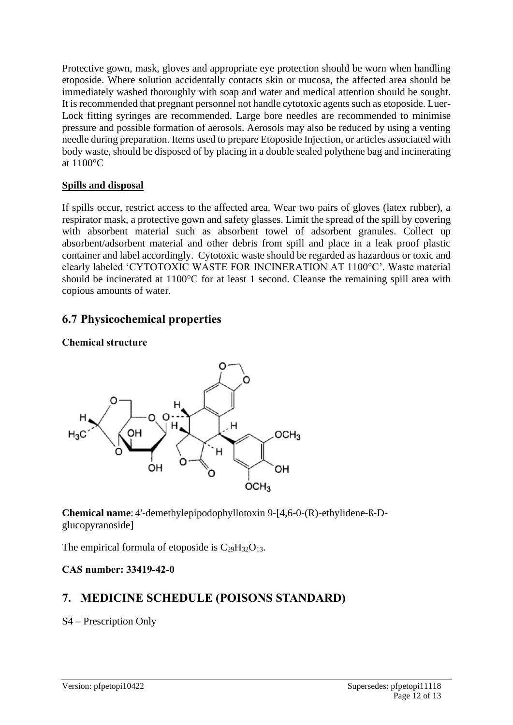Protective gown, mask, gloves and appropriate eye protection should be worn when handling etoposide. Where solution accidentally contacts skin or mucosa, the affected area should be immediately washed thoroughly with soap and water and medical attention should be sought. It is recommended that pregnant personnel not handle cytotoxic agents such as etoposide. Luer-Lock fitting syringes are recommended. Large bore needles are recommended to minimise pressure and possible formation of aerosols. Aerosols may also be reduced by using a venting needle during preparation. Items used to prepare Etoposide Injection, or articles associated with body waste, should be disposed of by placing in a double sealed polythene bag and incinerating at 1100°C

### **Spills and disposal**

If spills occur, restrict access to the affected area. Wear two pairs of gloves (latex rubber), a respirator mask, a protective gown and safety glasses. Limit the spread of the spill by covering with absorbent material such as absorbent towel of adsorbent granules. Collect up absorbent/adsorbent material and other debris from spill and place in a leak proof plastic container and label accordingly. Cytotoxic waste should be regarded as hazardous or toxic and clearly labeled 'CYTOTOXIC WASTE FOR INCINERATION AT 1100°C'. Waste material should be incinerated at 1100°C for at least 1 second. Cleanse the remaining spill area with copious amounts of water.

### **6.7 Physicochemical properties**

### **Chemical structure**



**Chemical name**: 4'-demethylepipodophyllotoxin 9-[4,6-0-(R)-ethylidene-ß-Dglucopyranoside]

The empirical formula of etoposide is  $C_{29}H_{32}O_{13}$ .

### **CAS number: 33419-42-0**

### **7. MEDICINE SCHEDULE (POISONS STANDARD)**

S4 – Prescription Only